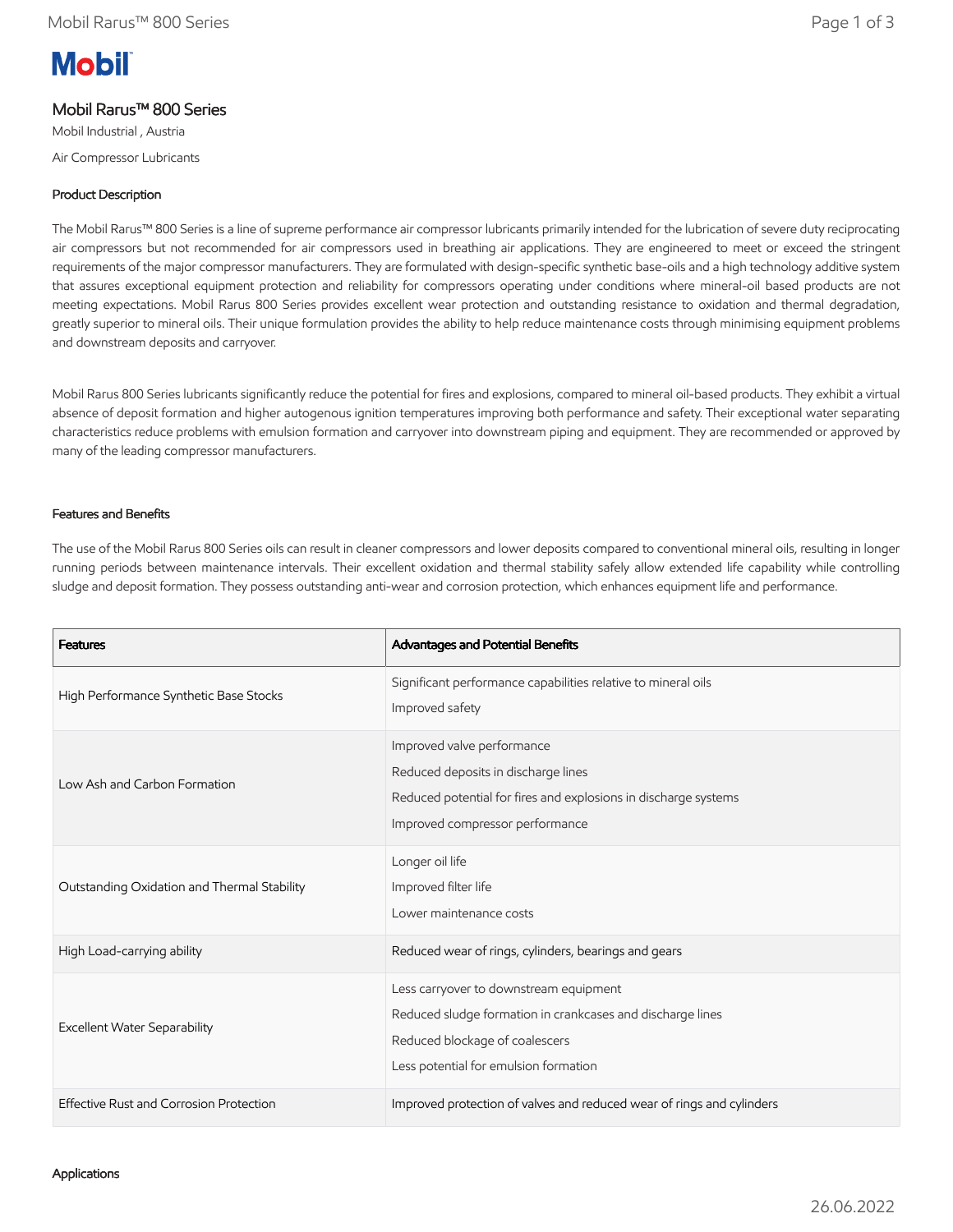# **Mobil**

# Mobil Rarus™ 800 Series

Mobil Industrial , Austria

Air Compressor Lubricants

## Product Description

The Mobil Rarus™ 800 Series is a line of supreme performance air compressor lubricants primarily intended for the lubrication of severe duty reciprocating air compressors but not recommended for air compressors used in breathing air applications. They are engineered to meet or exceed the stringent requirements of the major compressor manufacturers. They are formulated with design-specific synthetic base-oils and a high technology additive system that assures exceptional equipment protection and reliability for compressors operating under conditions where mineral-oil based products are not meeting expectations. Mobil Rarus 800 Series provides excellent wear protection and outstanding resistance to oxidation and thermal degradation, greatly superior to mineral oils. Their unique formulation provides the ability to help reduce maintenance costs through minimising equipment problems and downstream deposits and carryover.

Mobil Rarus 800 Series lubricants significantly reduce the potential for fires and explosions, compared to mineral oil-based products. They exhibit a virtual absence of deposit formation and higher autogenous ignition temperatures improving both performance and safety. Their exceptional water separating characteristics reduce problems with emulsion formation and carryover into downstream piping and equipment. They are recommended or approved by many of the leading compressor manufacturers.

### Features and Benefits

The use of the Mobil Rarus 800 Series oils can result in cleaner compressors and lower deposits compared to conventional mineral oils, resulting in longer running periods between maintenance intervals. Their excellent oxidation and thermal stability safely allow extended life capability while controlling sludge and deposit formation. They possess outstanding anti-wear and corrosion protection, which enhances equipment life and performance.

| <b>Features</b>                             | Advantages and Potential Benefits                                                                                                                                               |
|---------------------------------------------|---------------------------------------------------------------------------------------------------------------------------------------------------------------------------------|
| High Performance Synthetic Base Stocks      | Significant performance capabilities relative to mineral oils<br>Improved safety                                                                                                |
| Low Ash and Carbon Formation                | Improved valve performance<br>Reduced deposits in discharge lines<br>Reduced potential for fires and explosions in discharge systems<br>Improved compressor performance         |
| Outstanding Oxidation and Thermal Stability | Longer oil life<br>Improved filter life<br>Lower maintenance costs                                                                                                              |
| High Load-carrying ability                  | Reduced wear of rings, cylinders, bearings and gears                                                                                                                            |
| <b>Excellent Water Separability</b>         | Less carryover to downstream equipment<br>Reduced sludge formation in crankcases and discharge lines<br>Reduced blockage of coalescers<br>Less potential for emulsion formation |
| Effective Rust and Corrosion Protection     | Improved protection of valves and reduced wear of rings and cylinders                                                                                                           |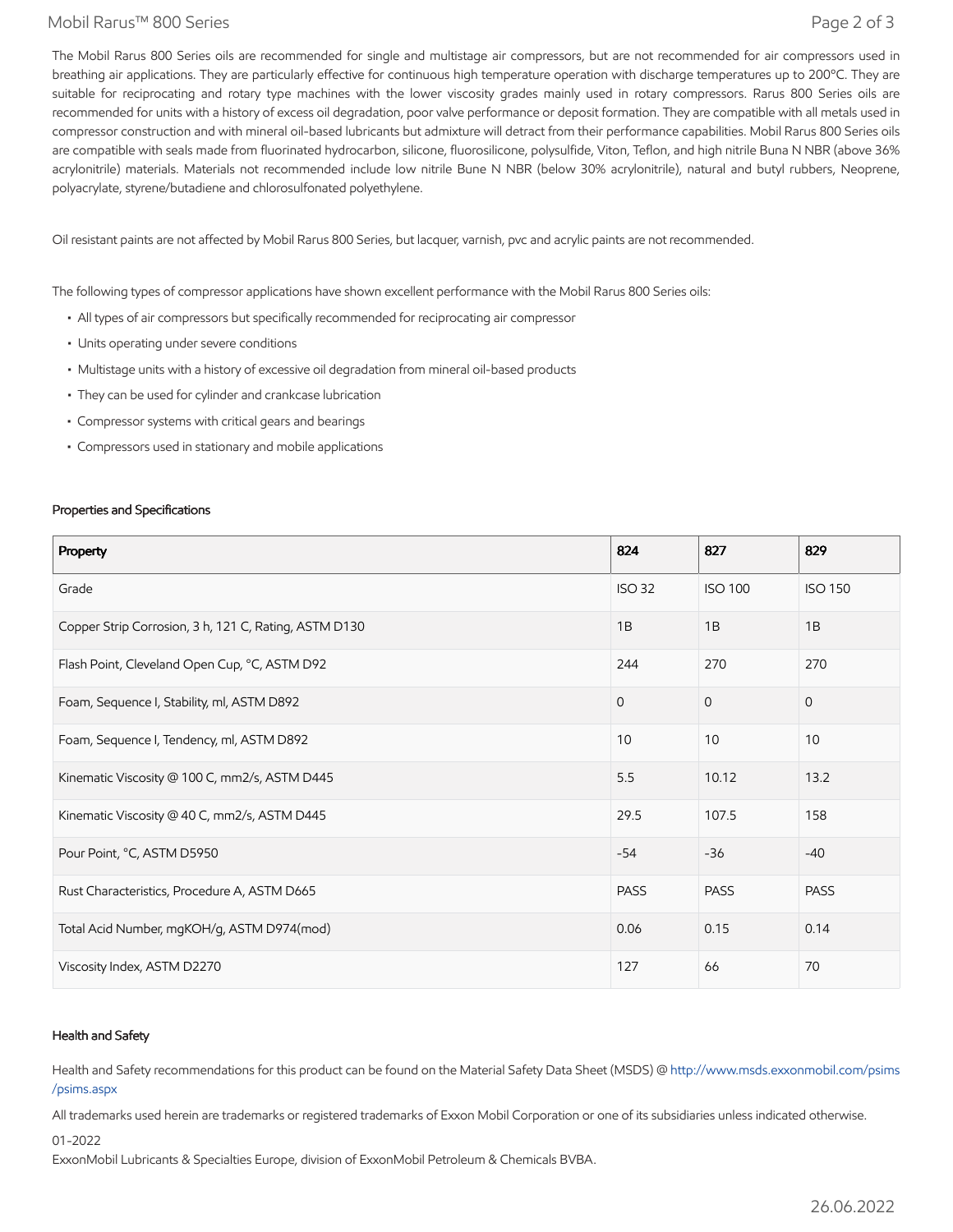#### Mobil Rarus™ 800 Series Page 2 of 3

The Mobil Rarus 800 Series oils are recommended for single and multistage air compressors, but are not recommended for air compressors used in breathing air applications. They are particularly effective for continuous high temperature operation with discharge temperatures up to 200°C. They are suitable for reciprocating and rotary type machines with the lower viscosity grades mainly used in rotary compressors. Rarus 800 Series oils are recommended for units with a history of excess oil degradation, poor valve performance or deposit formation. They are compatible with all metals used in compressor construction and with mineral oil-based lubricants but admixture will detract from their performance capabilities. Mobil Rarus 800 Series oils are compatible with seals made from fluorinated hydrocarbon, silicone, fluorosilicone, polysulfide, Viton, Teflon, and high nitrile Buna N NBR (above 36% acrylonitrile) materials. Materials not recommended include low nitrile Bune N NBR (below 30% acrylonitrile), natural and butyl rubbers, Neoprene, polyacrylate, styrene/butadiene and chlorosulfonated polyethylene.

Oil resistant paints are not affected by Mobil Rarus 800 Series, but lacquer, varnish, pvc and acrylic paints are not recommended.

The following types of compressor applications have shown excellent performance with the Mobil Rarus 800 Series oils:

- All types of air compressors but specifically recommended for reciprocating air compressor
- Units operating under severe conditions
- Multistage units with a history of excessive oil degradation from mineral oil-based products
- They can be used for cylinder and crankcase lubrication
- Compressor systems with critical gears and bearings
- Compressors used in stationary and mobile applications

#### Properties and Specifications

| Property                                              | 824           | 827            | 829            |
|-------------------------------------------------------|---------------|----------------|----------------|
| Grade                                                 | <b>ISO 32</b> | <b>ISO 100</b> | <b>ISO 150</b> |
| Copper Strip Corrosion, 3 h, 121 C, Rating, ASTM D130 | 1B            | 1B             | 1B             |
| Flash Point, Cleveland Open Cup, °C, ASTM D92         | 244           | 270            | 270            |
| Foam, Sequence I, Stability, ml, ASTM D892            | $\Omega$      | $\overline{0}$ | $\mathbf{0}$   |
| Foam, Sequence I, Tendency, ml, ASTM D892             | 10            | 10             | 10             |
| Kinematic Viscosity @ 100 C, mm2/s, ASTM D445         | 5.5           | 10.12          | 13.2           |
| Kinematic Viscosity @ 40 C, mm2/s, ASTM D445          | 29.5          | 107.5          | 158            |
| Pour Point, °C, ASTM D5950                            | $-54$         | $-36$          | $-40$          |
| Rust Characteristics, Procedure A, ASTM D665          | <b>PASS</b>   | <b>PASS</b>    | <b>PASS</b>    |
| Total Acid Number, mgKOH/g, ASTM D974(mod)            | 0.06          | 0.15           | 0.14           |
| Viscosity Index, ASTM D2270                           | 127           | 66             | 70             |

#### Health and Safety

Health and Safety recommendations for this product can be found on the Material Safety Data Sheet (MSDS) @ [http://www.msds.exxonmobil.com/psims](http://www.msds.exxonmobil.com/psims/psims.aspx) /psims.aspx

All trademarks used herein are trademarks or registered trademarks of Exxon Mobil Corporation or one of its subsidiaries unless indicated otherwise.

01-2022

ExxonMobil Lubricants & Specialties Europe, division of ExxonMobil Petroleum & Chemicals BVBA.